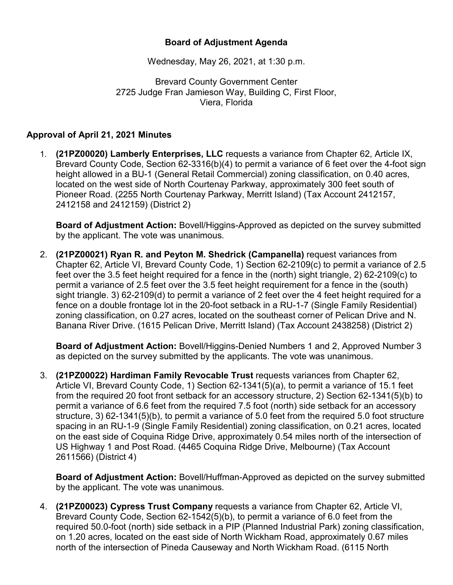## **Board of Adjustment Agenda**

Wednesday, May 26, 2021, at 1:30 p.m.

Brevard County Government Center 2725 Judge Fran Jamieson Way, Building C, First Floor, Viera, Florida

## **Approval of April 21, 2021 Minutes**

1. **(21PZ00020) Lamberly Enterprises, LLC** requests a variance from Chapter 62, Article IX, Brevard County Code, Section 62-3316(b)(4) to permit a variance of 6 feet over the 4-foot sign height allowed in a BU-1 (General Retail Commercial) zoning classification, on 0.40 acres, located on the west side of North Courtenay Parkway, approximately 300 feet south of Pioneer Road. (2255 North Courtenay Parkway, Merritt Island) (Tax Account 2412157, 2412158 and 2412159) (District 2)

**Board of Adjustment Action:** Bovell/Higgins-Approved as depicted on the survey submitted by the applicant. The vote was unanimous.

2. **(21PZ00021) Ryan R. and Peyton M. Shedrick (Campanella)** request variances from Chapter 62, Article VI, Brevard County Code, 1) Section 62-2109(c) to permit a variance of 2.5 feet over the 3.5 feet height required for a fence in the (north) sight triangle, 2) 62-2109(c) to permit a variance of 2.5 feet over the 3.5 feet height requirement for a fence in the (south) sight triangle. 3) 62-2109(d) to permit a variance of 2 feet over the 4 feet height required for a fence on a double frontage lot in the 20-foot setback in a RU-1-7 (Single Family Residential) zoning classification, on 0.27 acres, located on the southeast corner of Pelican Drive and N. Banana River Drive. (1615 Pelican Drive, Merritt Island) (Tax Account 2438258) (District 2)

**Board of Adjustment Action:** Bovell/Higgins-Denied Numbers 1 and 2, Approved Number 3 as depicted on the survey submitted by the applicants. The vote was unanimous.

3. **(21PZ00022) Hardiman Family Revocable Trust** requests variances from Chapter 62, Article VI, Brevard County Code, 1) Section 62-1341(5)(a), to permit a variance of 15.1 feet from the required 20 foot front setback for an accessory structure, 2) Section 62-1341(5)(b) to permit a variance of 6.6 feet from the required 7.5 foot (north) side setback for an accessory structure, 3) 62-1341(5)(b), to permit a variance of 5.0 feet from the required 5.0 foot structure spacing in an RU-1-9 (Single Family Residential) zoning classification, on 0.21 acres, located on the east side of Coquina Ridge Drive, approximately 0.54 miles north of the intersection of US Highway 1 and Post Road. (4465 Coquina Ridge Drive, Melbourne) (Tax Account 2611566) (District 4)

**Board of Adjustment Action:** Bovell/Huffman-Approved as depicted on the survey submitted by the applicant. The vote was unanimous.

4. **(21PZ00023) Cypress Trust Company** requests a variance from Chapter 62, Article VI, Brevard County Code, Section 62-1542(5)(b), to permit a variance of 6.0 feet from the required 50.0-foot (north) side setback in a PIP (Planned Industrial Park) zoning classification, on 1.20 acres, located on the east side of North Wickham Road, approximately 0.67 miles north of the intersection of Pineda Causeway and North Wickham Road. (6115 North